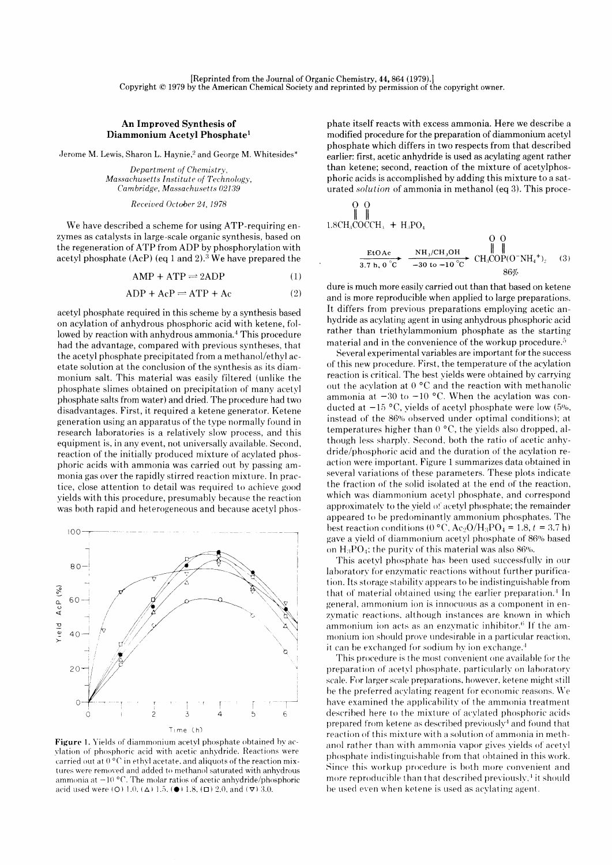## An Improved Synthesis of Diammonium Acetyl Phosphate<sup>1</sup>

Jerome M. Lewis, Sharon L. Haynie,<sup>2</sup> and George M. Whitesides\*

Department of Chemistry, Massachusetts Institute of Technology, Cambridge, Massachusetts 02139

Receiued October 24, 1978

We have described a scheme for using ATP-requiring enzymes as catalysts in large-scale organic synthesis, based on the regeneration of ATP from ADP by phosphorylation with acetyl phosphate  $(AcP)$  (eq 1 and 2).<sup>3</sup> We have prepared the

 $AMP + ATP \rightleftharpoons 2ADP$  (1)

 $ADP + AcP \rightleftharpoons ATP + Ac$  (2)

acetyl phosphate required in this scheme by a synthesis based on acylation of anhydrous phosphoric acid with ketene, followed by reaction with anhydrous ammonia.<sup>4</sup> This procedure had the advantage, compared with previous syntheses, that the acetyl phosphate precipitated from a methanol/ethyl acetate solution at the conclusion of the synthesis as its diammonium salt. This material was easily filtered (unlike the phosphate slimes obtained on precipitation of many acetyl phosphate salts from water) and dried. The procedure had two disadvantages. First, it required a ketene generator. Ketene generation using an apparatus of the type normally found in research laboratories is a relatively slow process, and this equipment is, in any event, not universally available. Second. reaction of the initially produced mixture of acylated phosphoric acids with ammonia was carried out hy passing ammonia gas over the rapidly stirred reaction mixture. In practice, close attention to detail was required to achieve good yields with this procedure, presumably because the reaction was both rapid and heterogeneous and because acetyl phos-



Figure 1. Yields of diammonium acetyl phosphate obtained by acvlation of phosphoric acid with acetic anhydride. Reactions were carried out at  $0^{\circ}$ C in ethyl acetate, and aliquots of the reaction mixtures were removed and added to methanol saturated with anhydrous ammonia at  $-10$  °C. The molar ratios of acetic anhydride/phosphoric acid used were (O) 1.0, ( $\Delta$ ) 1.5, ( $\bullet$ ) 1.8, ( $\Box$ ) 2.0, and ( $\nabla$ ) 3.0.

phate itself reacts with excess ammonia. Here we describe a modified procedure for the preparation of diammonium acetyl phosphate which differs in two respects from that described earlier: first, acetic anhydride is used as acylating agent rather than ketene; second, reaction of the mixture of acetylphosphoric acids is accomplished by adding this mixture to a saturated solution of ammonia in methanol (eq 3). This proce-

$$
\begin{array}{ccc}\n0 & 0 \\
\parallel & \parallel & \\
1.8CH_3COCCH_3 + H_3PO_4 & & & \\
& \downarrow & & \\
& \downarrow & & \\
& \frac{\text{EtoAc}}{3.7 \text{ h}, 0^{\circ}C} & \frac{\text{NH}_3/\text{CH}_3\text{OH}}{-30 \text{ to } -10^{\circ}C} & \text{CH}_3\text{COP(O-NH}_4^{\dagger})_2\n\end{array} (3)
$$

dure is much more easily carried out than that based on ketene and is more reproducible when applied to large preparations. It differs from previous preparations employing acetic anhydride as acylating agent in using anhydrous phosphoric acid rather than triethylammonium phosphate as the starting material and in the convenience of the workup procedure.<sup>5</sup>

Several experimental variables are important for the success of this new procedure. First, the temperature of the acylation reaction is critical. The best yields were obtained by carrying out the acylation at  $0 °C$  and the reaction with methanolic ammonia at  $-30$  to  $-10$  °C. When the acylation was conducted at  $-15$  °C, vields of acetyl phosphate were low (5%, instead of the 86%, observed under optimal conditions); at temperatures higher than  $0^{\circ}$ C, the yields also dropped, although less sharplv. Second, both the ratio of acetic anhvdride/phosphoric acid and the duration of the acylation reaction were important. Figure 1 summarizes data obtained in several variations of these parameters. These plots indicate the fraction of the solid isolated at the end of the reaction, which was diammonium acetyl phosphate, and correspond approximately to the yield of acetyl phosphate; the remainder appeared to be predominantly ammonium phosphates. The best reaction conditions (0 °C, Ac<sub>2</sub>O/H<sub>3</sub>PO<sub>4</sub> = 1.8,  $t = 3.7$  h) gave a yield of diammonium acetyl phosphate of 86% based on  $H_3PO_4$ ; the purity of this material was also 86%.

This acetyl phosphate has been used successfully in our laboratory for enzymatic reactions without further purification. Its storage stabilitv appears to be indistinguishable from that of material obtained using the earlier preparation.<sup>4</sup> In general, ammonium ion is innocuous as a component in enzymatic reactions, although instances are known in which ammonium ion acts as an enzymatic inhibitor. $6$  If the ammonium ion should prove undesirable in a particular reaction. it can be exchanged for sodium by ion exchange.<sup>4</sup>

This procedure is the most convenient one available for the preparation of acetyl phosphate, particularly on laboratory scale. For larger scale preparations. however, ketene might still be the preferred acylating reagent for economic reasons. We have examined the applicability of the ammonia treatment described here to the mixture of acylated phosphoric acids prepared from ketene as described previously<sup>4</sup> and found that reaction of this mixture with a solution of ammonia in methanol rather than with ammonia vapor gives vields of acetyl phosphate indistinguishable from that obtained in this work. Since this workup procedure is both more convenient and more reproducible than that described previously, $4$  it should be used even when ketene is used as acylating agent.